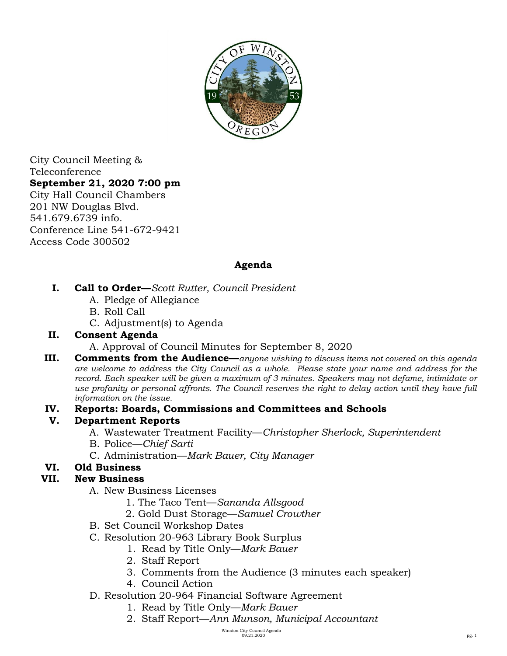

City Council Meeting & Teleconference **September 21, 2020 7:00 pm**  City Hall Council Chambers 201 NW Douglas Blvd. 541.679.6739 info. Conference Line 541-672-9421 Access Code 300502

#### **Agenda**

- **I. Call to Order—***Scott Rutter, Council President*
	- A. Pledge of Allegiance
	- B. Roll Call
	- C. Adjustment(s) to Agenda

#### **II. Consent Agenda**

- A. Approval of Council Minutes for September 8, 2020
- **III. Comments from the Audience—***anyone wishing to discuss items not covered on this agenda are welcome to address the City Council as a whole. Please state your name and address for the record. Each speaker will be given a maximum of 3 minutes. Speakers may not defame, intimidate or use profanity or personal affronts. The Council reserves the right to delay action until they have full information on the issue.*
- **IV. Reports: Boards, Commissions and Committees and Schools**

### **V. Department Reports**

- A. Wastewater Treatment Facility—*Christopher Sherlock, Superintendent*
- B. Police—*Chief Sarti*
- C. Administration—*Mark Bauer, City Manager*

# **VI. Old Business**

### **VII. New Business**

- A. New Business Licenses
	- 1. The Taco Tent—*Sananda Allsgood*
	- 2. Gold Dust Storage—*Samuel Crowther*
- B. Set Council Workshop Dates
- C. Resolution 20-963 Library Book Surplus
	- 1. Read by Title Only—*Mark Bauer*
	- 2. Staff Report
	- 3. Comments from the Audience (3 minutes each speaker)
	- 4. Council Action
- D. Resolution 20-964 Financial Software Agreement
	- 1. Read by Title Only—*Mark Bauer*
	- 2. Staff Report—*Ann Munson, Municipal Accountant*